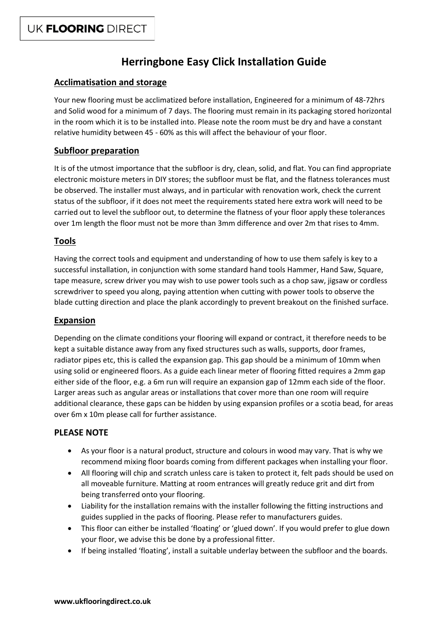# **Herringbone Easy Click Installation Guide**

# **Acclimatisation and storage**

Your new flooring must be acclimatized before installation, Engineered for a minimum of 48-72hrs and Solid wood for a minimum of 7 days. The flooring must remain in its packaging stored horizontal in the room which it is to be installed into. Please note the room must be dry and have a constant relative humidity between 45 - 60% as this will affect the behaviour of your floor.

# **Subfloor preparation**

It is of the utmost importance that the subfloor is dry, clean, solid, and flat. You can find appropriate electronic moisture meters in DIY stores; the subfloor must be flat, and the flatness tolerances must be observed. The installer must always, and in particular with renovation work, check the current status of the subfloor, if it does not meet the requirements stated here extra work will need to be carried out to level the subfloor out, to determine the flatness of your floor apply these tolerances over 1m length the floor must not be more than 3mm difference and over 2m that rises to 4mm.

# **Tools**

Having the correct tools and equipment and understanding of how to use them safely is key to a successful installation, in conjunction with some standard hand tools Hammer, Hand Saw, Square, tape measure, screw driver you may wish to use power tools such as a chop saw, jigsaw or cordless screwdriver to speed you along, paying attention when cutting with power tools to observe the blade cutting direction and place the plank accordingly to prevent breakout on the finished surface.

## **Expansion**

Depending on the climate conditions your flooring will expand or contract, it therefore needs to be kept a suitable distance away from any fixed structures such as walls, supports, door frames, radiator pipes etc, this is called the expansion gap. This gap should be a minimum of 10mm when using solid or engineered floors. As a guide each linear meter of flooring fitted requires a 2mm gap either side of the floor, e.g. a 6m run will require an expansion gap of 12mm each side of the floor. Larger areas such as angular areas or installations that cover more than one room will require additional clearance, these gaps can be hidden by using expansion profiles or a scotia bead, for areas over 6m x 10m please call for further assistance.

# **PLEASE NOTE**

- As your floor is a natural product, structure and colours in wood may vary. That is why we recommend mixing floor boards coming from different packages when installing your floor.
- All flooring will chip and scratch unless care is taken to protect it, felt pads should be used on all moveable furniture. Matting at room entrances will greatly reduce grit and dirt from being transferred onto your flooring.
- Liability for the installation remains with the installer following the fitting instructions and guides supplied in the packs of flooring. Please refer to manufacturers guides.
- This floor can either be installed 'floating' or 'glued down'. If you would prefer to glue down your floor, we advise this be done by a professional fitter.
- If being installed 'floating', install a suitable underlay between the subfloor and the boards.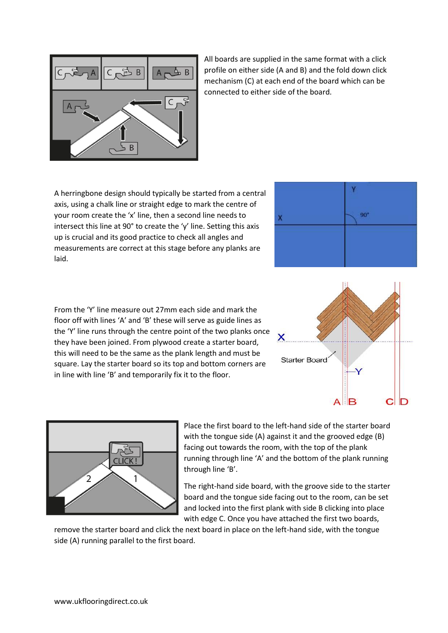

All boards are supplied in the same format with a click profile on either side (A and B) and the fold down click mechanism (C) at each end of the board which can be connected to either side of the board.

A herringbone design should typically be started from a central axis, using a chalk line or straight edge to mark the centre of your room create the 'x' line, then a second line needs to intersect this line at 90° to create the 'y' line. Setting this axis up is crucial and its good practice to check all angles and measurements are correct at this stage before any planks are laid.

in line with line 'B' and temporarily fix it to the floor.



From the 'Y' line measure out 27mm each side and mark the floor off with lines 'A' and 'B' these will serve as guide lines as the 'Y' line runs through the centre point of the two planks once X they have been joined. From plywood create a starter board, this will need to be the same as the plank length and must be **Starter Board** square. Lay the starter board so its top and bottom corners are -V **B**  $C$   $D$ 



Place the first board to the left-hand side of the starter board with the tongue side (A) against it and the grooved edge (B) facing out towards the room, with the top of the plank running through line 'A' and the bottom of the plank running through line 'B'.

The right-hand side board, with the groove side to the starter board and the tongue side facing out to the room, can be set and locked into the first plank with side B clicking into place with edge C. Once you have attached the first two boards,

remove the starter board and click the next board in place on the left-hand side, with the tongue side (A) running parallel to the first board.